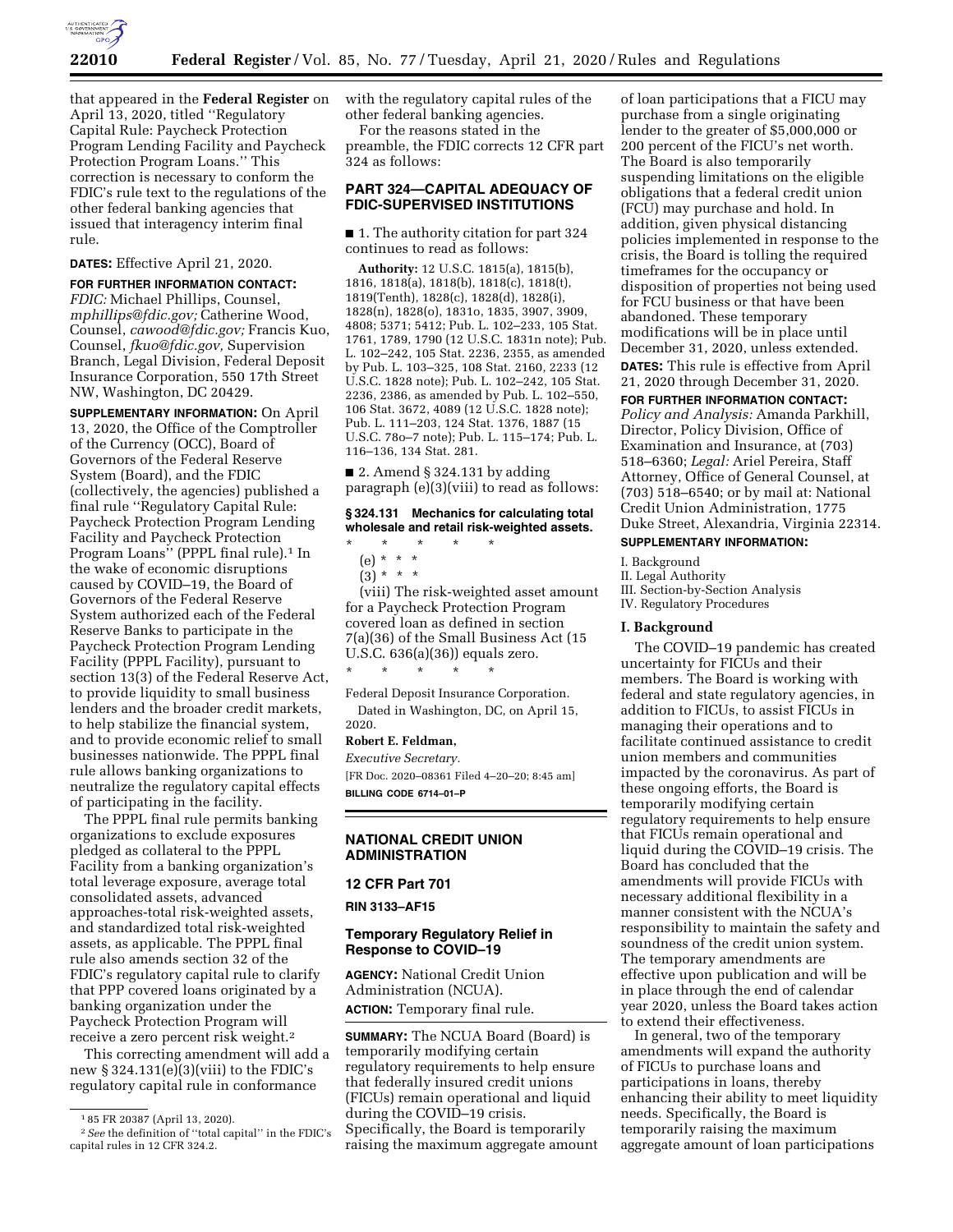

that appeared in the **Federal Register** on April 13, 2020, titled ''Regulatory Capital Rule: Paycheck Protection Program Lending Facility and Paycheck Protection Program Loans.'' This correction is necessary to conform the FDIC's rule text to the regulations of the other federal banking agencies that issued that interagency interim final rule.

**DATES:** Effective April 21, 2020.

**FOR FURTHER INFORMATION CONTACT:**  *FDIC:* Michael Phillips, Counsel, *[mphillips@fdic.gov;](mailto:mphillips@fdic.gov)* Catherine Wood, Counsel, *[cawood@fdic.gov;](mailto:cawood@fdic.gov)* Francis Kuo, Counsel, *[fkuo@fdic.gov,](mailto:fkuo@fdic.gov)* Supervision Branch, Legal Division, Federal Deposit Insurance Corporation, 550 17th Street NW, Washington, DC 20429.

**SUPPLEMENTARY INFORMATION:** On April 13, 2020, the Office of the Comptroller of the Currency (OCC), Board of Governors of the Federal Reserve System (Board), and the FDIC (collectively, the agencies) published a final rule ''Regulatory Capital Rule: Paycheck Protection Program Lending Facility and Paycheck Protection Program Loans" (PPPL final rule).<sup>1</sup> In the wake of economic disruptions caused by COVID–19, the Board of Governors of the Federal Reserve System authorized each of the Federal Reserve Banks to participate in the Paycheck Protection Program Lending Facility (PPPL Facility), pursuant to section 13(3) of the Federal Reserve Act, to provide liquidity to small business lenders and the broader credit markets, to help stabilize the financial system, and to provide economic relief to small businesses nationwide. The PPPL final rule allows banking organizations to neutralize the regulatory capital effects of participating in the facility.

The PPPL final rule permits banking organizations to exclude exposures pledged as collateral to the PPPL Facility from a banking organization's total leverage exposure, average total consolidated assets, advanced approaches-total risk-weighted assets, and standardized total risk-weighted assets, as applicable. The PPPL final rule also amends section 32 of the FDIC's regulatory capital rule to clarify that PPP covered loans originated by a banking organization under the Paycheck Protection Program will receive a zero percent risk weight.2

This correcting amendment will add a new § 324.131(e)(3)(viii) to the FDIC's regulatory capital rule in conformance

with the regulatory capital rules of the other federal banking agencies.

For the reasons stated in the preamble, the FDIC corrects 12 CFR part 324 as follows:

# **PART 324—CAPITAL ADEQUACY OF FDIC-SUPERVISED INSTITUTIONS**

■ 1. The authority citation for part 324 continues to read as follows:

**Authority:** 12 U.S.C. 1815(a), 1815(b), 1816, 1818(a), 1818(b), 1818(c), 1818(t), 1819(Tenth), 1828(c), 1828(d), 1828(i), 1828(n), 1828(o), 1831o, 1835, 3907, 3909, 4808; 5371; 5412; Pub. L. 102–233, 105 Stat. 1761, 1789, 1790 (12 U.S.C. 1831n note); Pub. L. 102–242, 105 Stat. 2236, 2355, as amended by Pub. L. 103–325, 108 Stat. 2160, 2233 (12 U.S.C. 1828 note); Pub. L. 102–242, 105 Stat. 2236, 2386, as amended by Pub. L. 102–550, 106 Stat. 3672, 4089 (12 U.S.C. 1828 note); Pub. L. 111–203, 124 Stat. 1376, 1887 (15 U.S.C. 78o–7 note); Pub. L. 115–174; Pub. L. 116–136, 134 Stat. 281.

 $\blacksquare$  2. Amend § 324.131 by adding paragraph (e)(3)(viii) to read as follows:

**§ 324.131 Mechanics for calculating total wholesale and retail risk-weighted assets.** 

- \* \* \* \* \* (e) \* \* \*
	- $(3) * * * *$

(viii) The risk-weighted asset amount for a Paycheck Protection Program covered loan as defined in section 7(a)(36) of the Small Business Act (15 U.S.C. 636(a)(36)) equals zero. \* \* \* \* \*

Federal Deposit Insurance Corporation. Dated in Washington, DC, on April 15, 2020.

# **Robert E. Feldman,**

*Executive Secretary.* 

[FR Doc. 2020–08361 Filed 4–20–20; 8:45 am] **BILLING CODE 6714–01–P** 

# **NATIONAL CREDIT UNION ADMINISTRATION**

**12 CFR Part 701** 

**RIN 3133–AF15** 

# **Temporary Regulatory Relief in Response to COVID–19**

**AGENCY:** National Credit Union Administration (NCUA). **ACTION:** Temporary final rule.

**SUMMARY:** The NCUA Board (Board) is temporarily modifying certain regulatory requirements to help ensure that federally insured credit unions (FICUs) remain operational and liquid during the COVID–19 crisis. Specifically, the Board is temporarily raising the maximum aggregate amount

of loan participations that a FICU may purchase from a single originating lender to the greater of \$5,000,000 or 200 percent of the FICU's net worth. The Board is also temporarily suspending limitations on the eligible obligations that a federal credit union (FCU) may purchase and hold. In addition, given physical distancing policies implemented in response to the crisis, the Board is tolling the required timeframes for the occupancy or disposition of properties not being used for FCU business or that have been abandoned. These temporary modifications will be in place until December 31, 2020, unless extended. **DATES:** This rule is effective from April 21, 2020 through December 31, 2020.

#### **FOR FURTHER INFORMATION CONTACT:**

*Policy and Analysis:* Amanda Parkhill, Director, Policy Division, Office of Examination and Insurance, at (703) 518–6360; *Legal:* Ariel Pereira, Staff Attorney, Office of General Counsel, at (703) 518–6540; or by mail at: National Credit Union Administration, 1775 Duke Street, Alexandria, Virginia 22314. **SUPPLEMENTARY INFORMATION:** 

I. Background

II. Legal Authority III. Section-by-Section Analysis

IV. Regulatory Procedures

#### **I. Background**

The COVID–19 pandemic has created uncertainty for FICUs and their members. The Board is working with federal and state regulatory agencies, in addition to FICUs, to assist FICUs in managing their operations and to facilitate continued assistance to credit union members and communities impacted by the coronavirus. As part of these ongoing efforts, the Board is temporarily modifying certain regulatory requirements to help ensure that FICUs remain operational and liquid during the COVID–19 crisis. The Board has concluded that the amendments will provide FICUs with necessary additional flexibility in a manner consistent with the NCUA's responsibility to maintain the safety and soundness of the credit union system. The temporary amendments are effective upon publication and will be in place through the end of calendar year 2020, unless the Board takes action to extend their effectiveness.

In general, two of the temporary amendments will expand the authority of FICUs to purchase loans and participations in loans, thereby enhancing their ability to meet liquidity needs. Specifically, the Board is temporarily raising the maximum aggregate amount of loan participations

<sup>1</sup> 85 FR 20387 (April 13, 2020).

<sup>2</sup>*See* the definition of ''total capital'' in the FDIC's capital rules in 12 CFR 324.2.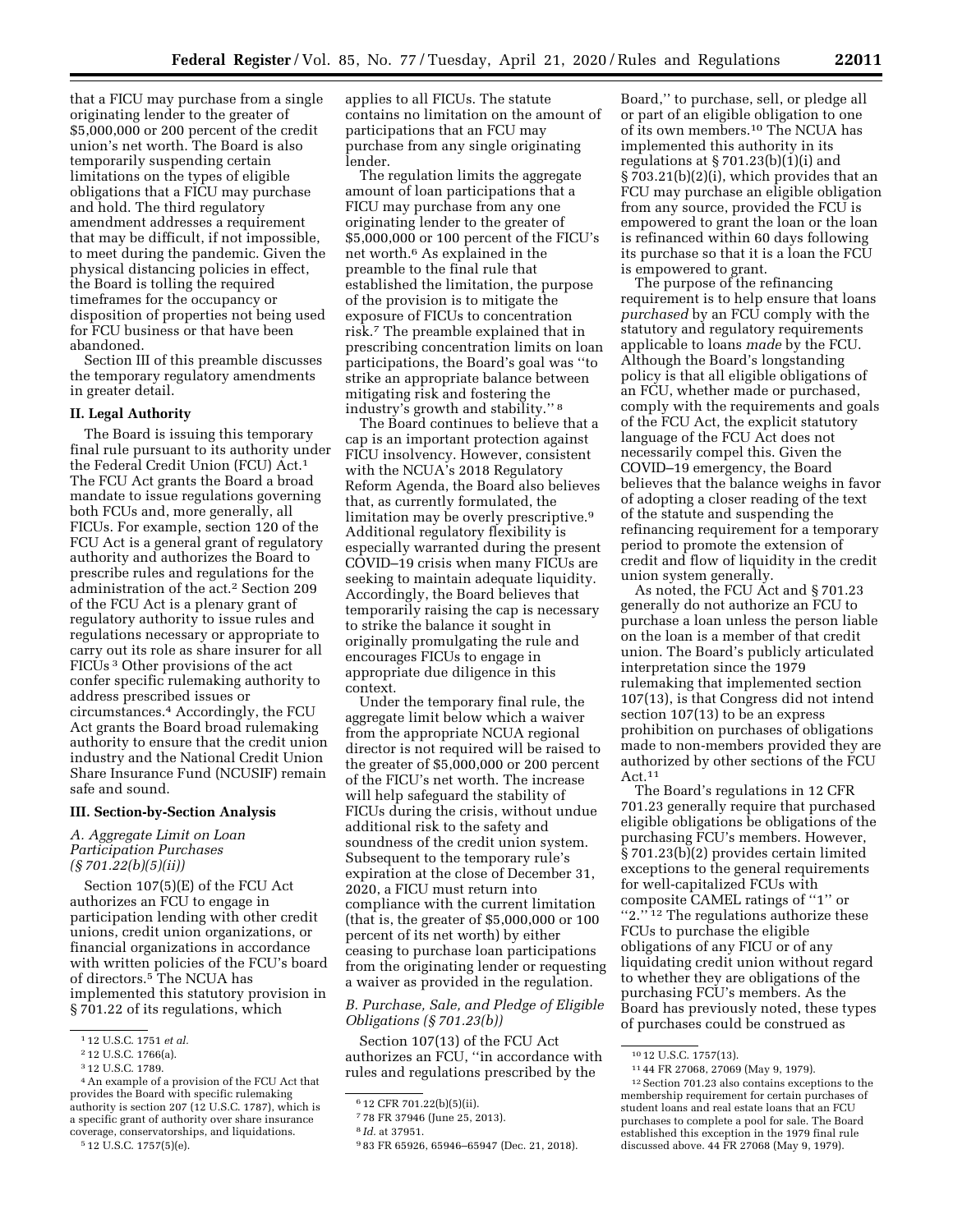that a FICU may purchase from a single originating lender to the greater of \$5,000,000 or 200 percent of the credit union's net worth. The Board is also temporarily suspending certain limitations on the types of eligible obligations that a FICU may purchase and hold. The third regulatory amendment addresses a requirement that may be difficult, if not impossible, to meet during the pandemic. Given the physical distancing policies in effect, the Board is tolling the required timeframes for the occupancy or disposition of properties not being used for FCU business or that have been abandoned.

Section III of this preamble discusses the temporary regulatory amendments in greater detail.

#### **II. Legal Authority**

The Board is issuing this temporary final rule pursuant to its authority under the Federal Credit Union (FCU) Act.1 The FCU Act grants the Board a broad mandate to issue regulations governing both FCUs and, more generally, all FICUs. For example, section 120 of the FCU Act is a general grant of regulatory authority and authorizes the Board to prescribe rules and regulations for the administration of the act.2 Section 209 of the FCU Act is a plenary grant of regulatory authority to issue rules and regulations necessary or appropriate to carry out its role as share insurer for all FICUs 3 Other provisions of the act confer specific rulemaking authority to address prescribed issues or circumstances.4 Accordingly, the FCU Act grants the Board broad rulemaking authority to ensure that the credit union industry and the National Credit Union Share Insurance Fund (NCUSIF) remain safe and sound.

#### **III. Section-by-Section Analysis**

#### *A. Aggregate Limit on Loan Participation Purchases (§ 701.22(b)(5)(ii))*

Section 107(5)(E) of the FCU Act authorizes an FCU to engage in participation lending with other credit unions, credit union organizations, or financial organizations in accordance with written policies of the FCU's board of directors.5 The NCUA has implemented this statutory provision in § 701.22 of its regulations, which

applies to all FICUs. The statute contains no limitation on the amount of participations that an FCU may purchase from any single originating lender.

The regulation limits the aggregate amount of loan participations that a FICU may purchase from any one originating lender to the greater of \$5,000,000 or 100 percent of the FICU's net worth.6 As explained in the preamble to the final rule that established the limitation, the purpose of the provision is to mitigate the exposure of FICUs to concentration risk.7 The preamble explained that in prescribing concentration limits on loan participations, the Board's goal was ''to strike an appropriate balance between mitigating risk and fostering the industry's growth and stability.'' 8

The Board continues to believe that a cap is an important protection against FICU insolvency. However, consistent with the NCUA's 2018 Regulatory Reform Agenda, the Board also believes that, as currently formulated, the limitation may be overly prescriptive.<sup>9</sup> Additional regulatory flexibility is especially warranted during the present COVID–19 crisis when many FICUs are seeking to maintain adequate liquidity. Accordingly, the Board believes that temporarily raising the cap is necessary to strike the balance it sought in originally promulgating the rule and encourages FICUs to engage in appropriate due diligence in this context.

Under the temporary final rule, the aggregate limit below which a waiver from the appropriate NCUA regional director is not required will be raised to the greater of \$5,000,000 or 200 percent of the FICU's net worth. The increase will help safeguard the stability of FICUs during the crisis, without undue additional risk to the safety and soundness of the credit union system. Subsequent to the temporary rule's expiration at the close of December 31, 2020, a FICU must return into compliance with the current limitation (that is, the greater of \$5,000,000 or 100 percent of its net worth) by either ceasing to purchase loan participations from the originating lender or requesting a waiver as provided in the regulation.

# *B. Purchase, Sale, and Pledge of Eligible Obligations (§ 701.23(b))*

Section 107(13) of the FCU Act authorizes an FCU, ''in accordance with rules and regulations prescribed by the

Board,'' to purchase, sell, or pledge all or part of an eligible obligation to one of its own members.10 The NCUA has implemented this authority in its regulations at  $\S 701.23(b)(1)(i)$  and § 703.21(b)(2)(i), which provides that an FCU may purchase an eligible obligation from any source, provided the FCU is empowered to grant the loan or the loan is refinanced within 60 days following its purchase so that it is a loan the FCU is empowered to grant.

The purpose of the refinancing requirement is to help ensure that loans *purchased* by an FCU comply with the statutory and regulatory requirements applicable to loans *made* by the FCU. Although the Board's longstanding policy is that all eligible obligations of an FCU, whether made or purchased, comply with the requirements and goals of the FCU Act, the explicit statutory language of the FCU Act does not necessarily compel this. Given the COVID–19 emergency, the Board believes that the balance weighs in favor of adopting a closer reading of the text of the statute and suspending the refinancing requirement for a temporary period to promote the extension of credit and flow of liquidity in the credit union system generally.

As noted, the FCU Act and § 701.23 generally do not authorize an FCU to purchase a loan unless the person liable on the loan is a member of that credit union. The Board's publicly articulated interpretation since the 1979 rulemaking that implemented section 107(13), is that Congress did not intend section 107(13) to be an express prohibition on purchases of obligations made to non-members provided they are authorized by other sections of the FCU Act.11

The Board's regulations in 12 CFR 701.23 generally require that purchased eligible obligations be obligations of the purchasing FCU's members. However, § 701.23(b)(2) provides certain limited exceptions to the general requirements for well-capitalized FCUs with composite CAMEL ratings of ''1'' or "2."<sup>12</sup> The regulations authorize these FCUs to purchase the eligible obligations of any FICU or of any liquidating credit union without regard to whether they are obligations of the purchasing FCU's members. As the Board has previously noted, these types of purchases could be construed as

<sup>1</sup> 12 U.S.C. 1751 *et al.* 

<sup>2</sup> 12 U.S.C. 1766(a).

<sup>3</sup> 12 U.S.C. 1789.

<sup>4</sup>An example of a provision of the FCU Act that provides the Board with specific rulemaking authority is section 207 (12 U.S.C. 1787), which is a specific grant of authority over share insurance coverage, conservatorships, and liquidations.

<sup>5</sup> 12 U.S.C. 1757(5)(e).

<sup>6</sup> 12 CFR 701.22(b)(5)(ii).

<sup>7</sup> 78 FR 37946 (June 25, 2013).

<sup>8</sup> *Id.* at 37951.

<sup>9</sup> 83 FR 65926, 65946–65947 (Dec. 21, 2018).

<sup>10</sup> 12 U.S.C. 1757(13).

<sup>11</sup> 44 FR 27068, 27069 (May 9, 1979). 12Section 701.23 also contains exceptions to the membership requirement for certain purchases of student loans and real estate loans that an FCU

purchases to complete a pool for sale. The Board established this exception in the 1979 final rule discussed above. 44 FR 27068 (May 9, 1979).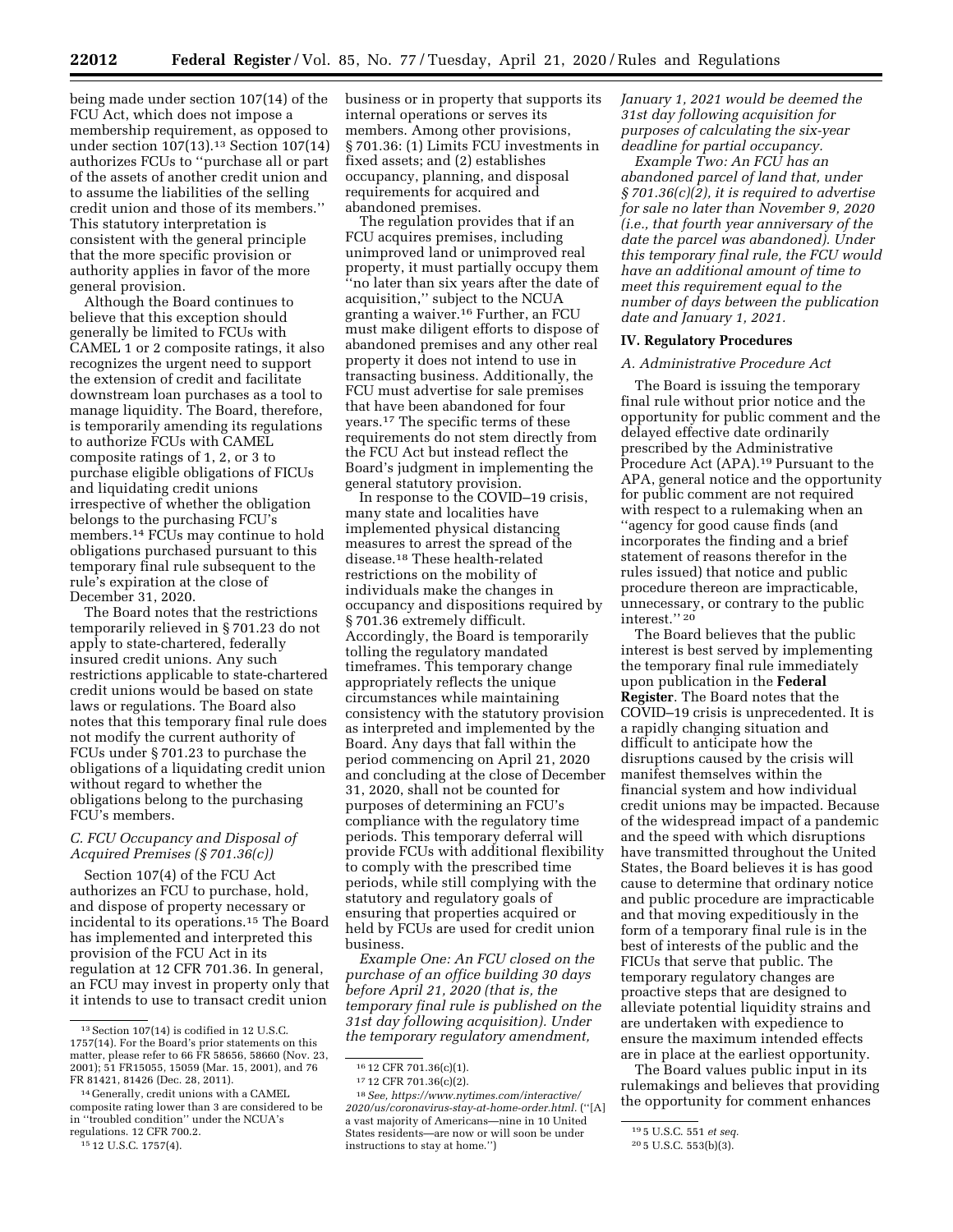being made under section 107(14) of the FCU Act, which does not impose a membership requirement, as opposed to under section 107(13).13 Section 107(14) authorizes FCUs to ''purchase all or part of the assets of another credit union and to assume the liabilities of the selling credit union and those of its members.'' This statutory interpretation is consistent with the general principle that the more specific provision or authority applies in favor of the more general provision.

Although the Board continues to believe that this exception should generally be limited to FCUs with CAMEL 1 or 2 composite ratings, it also recognizes the urgent need to support the extension of credit and facilitate downstream loan purchases as a tool to manage liquidity. The Board, therefore, is temporarily amending its regulations to authorize FCUs with CAMEL composite ratings of 1, 2, or 3 to purchase eligible obligations of FICUs and liquidating credit unions irrespective of whether the obligation belongs to the purchasing FCU's members.14 FCUs may continue to hold obligations purchased pursuant to this temporary final rule subsequent to the rule's expiration at the close of December 31, 2020.

The Board notes that the restrictions temporarily relieved in § 701.23 do not apply to state-chartered, federally insured credit unions. Any such restrictions applicable to state-chartered credit unions would be based on state laws or regulations. The Board also notes that this temporary final rule does not modify the current authority of FCUs under § 701.23 to purchase the obligations of a liquidating credit union without regard to whether the obligations belong to the purchasing FCU's members.

#### *C. FCU Occupancy and Disposal of Acquired Premises (§ 701.36(c))*

Section 107(4) of the FCU Act authorizes an FCU to purchase, hold, and dispose of property necessary or incidental to its operations.15 The Board has implemented and interpreted this provision of the FCU Act in its regulation at 12 CFR 701.36. In general, an FCU may invest in property only that it intends to use to transact credit union

15 12 U.S.C. 1757(4).

business or in property that supports its internal operations or serves its members. Among other provisions, § 701.36: (1) Limits FCU investments in fixed assets; and (2) establishes occupancy, planning, and disposal requirements for acquired and abandoned premises.

The regulation provides that if an FCU acquires premises, including unimproved land or unimproved real property, it must partially occupy them ''no later than six years after the date of acquisition,'' subject to the NCUA granting a waiver.16 Further, an FCU must make diligent efforts to dispose of abandoned premises and any other real property it does not intend to use in transacting business. Additionally, the FCU must advertise for sale premises that have been abandoned for four years.17 The specific terms of these requirements do not stem directly from the FCU Act but instead reflect the Board's judgment in implementing the general statutory provision.

In response to the COVID–19 crisis, many state and localities have implemented physical distancing measures to arrest the spread of the disease.18 These health-related restrictions on the mobility of individuals make the changes in occupancy and dispositions required by § 701.36 extremely difficult. Accordingly, the Board is temporarily tolling the regulatory mandated timeframes. This temporary change appropriately reflects the unique circumstances while maintaining consistency with the statutory provision as interpreted and implemented by the Board. Any days that fall within the period commencing on April 21, 2020 and concluding at the close of December 31, 2020, shall not be counted for purposes of determining an FCU's compliance with the regulatory time periods. This temporary deferral will provide FCUs with additional flexibility to comply with the prescribed time periods, while still complying with the statutory and regulatory goals of ensuring that properties acquired or held by FCUs are used for credit union business.

*Example One: An FCU closed on the purchase of an office building 30 days before April 21, 2020 (that is, the temporary final rule is published on the 31st day following acquisition). Under the temporary regulatory amendment,* 

*January 1, 2021 would be deemed the 31st day following acquisition for purposes of calculating the six-year deadline for partial occupancy.* 

*Example Two: An FCU has an abandoned parcel of land that, under § 701.36(c)(2), it is required to advertise for sale no later than November 9, 2020 (i.e., that fourth year anniversary of the date the parcel was abandoned). Under this temporary final rule, the FCU would have an additional amount of time to meet this requirement equal to the number of days between the publication date and January 1, 2021.* 

# **IV. Regulatory Procedures**

#### *A. Administrative Procedure Act*

The Board is issuing the temporary final rule without prior notice and the opportunity for public comment and the delayed effective date ordinarily prescribed by the Administrative Procedure Act (APA).19 Pursuant to the APA, general notice and the opportunity for public comment are not required with respect to a rulemaking when an ''agency for good cause finds (and incorporates the finding and a brief statement of reasons therefor in the rules issued) that notice and public procedure thereon are impracticable, unnecessary, or contrary to the public interest.'' 20

The Board believes that the public interest is best served by implementing the temporary final rule immediately upon publication in the **Federal Register**. The Board notes that the COVID–19 crisis is unprecedented. It is a rapidly changing situation and difficult to anticipate how the disruptions caused by the crisis will manifest themselves within the financial system and how individual credit unions may be impacted. Because of the widespread impact of a pandemic and the speed with which disruptions have transmitted throughout the United States, the Board believes it is has good cause to determine that ordinary notice and public procedure are impracticable and that moving expeditiously in the form of a temporary final rule is in the best of interests of the public and the FICUs that serve that public. The temporary regulatory changes are proactive steps that are designed to alleviate potential liquidity strains and are undertaken with expedience to ensure the maximum intended effects are in place at the earliest opportunity.

The Board values public input in its rulemakings and believes that providing the opportunity for comment enhances

<sup>13</sup>Section 107(14) is codified in 12 U.S.C. 1757(14). For the Board's prior statements on this matter, please refer to 66 FR 58656, 58660 (Nov. 23, 2001); 51 FR15055, 15059 (Mar. 15, 2001), and 76 FR 81421, 81426 (Dec. 28, 2011).

<sup>14</sup> Generally, credit unions with a CAMEL composite rating lower than 3 are considered to be in ''troubled condition'' under the NCUA's regulations. 12 CFR 700.2.

<sup>16</sup> 12 CFR 701.36(c)(1).

<sup>17</sup> 12 CFR 701.36(c)(2).

<sup>18</sup>*See, [https://www.nytimes.com/interactive/](https://www.nytimes.com/interactive/2020/us/coronavirus-stay-at-home-order.html) [2020/us/coronavirus-stay-at-home-order.html.](https://www.nytimes.com/interactive/2020/us/coronavirus-stay-at-home-order.html)* (''[A] a vast majority of Americans—nine in 10 United States residents—are now or will soon be under instructions to stay at home.'')

<sup>19</sup> 5 U.S.C. 551 *et seq.* 

<sup>20</sup> 5 U.S.C. 553(b)(3).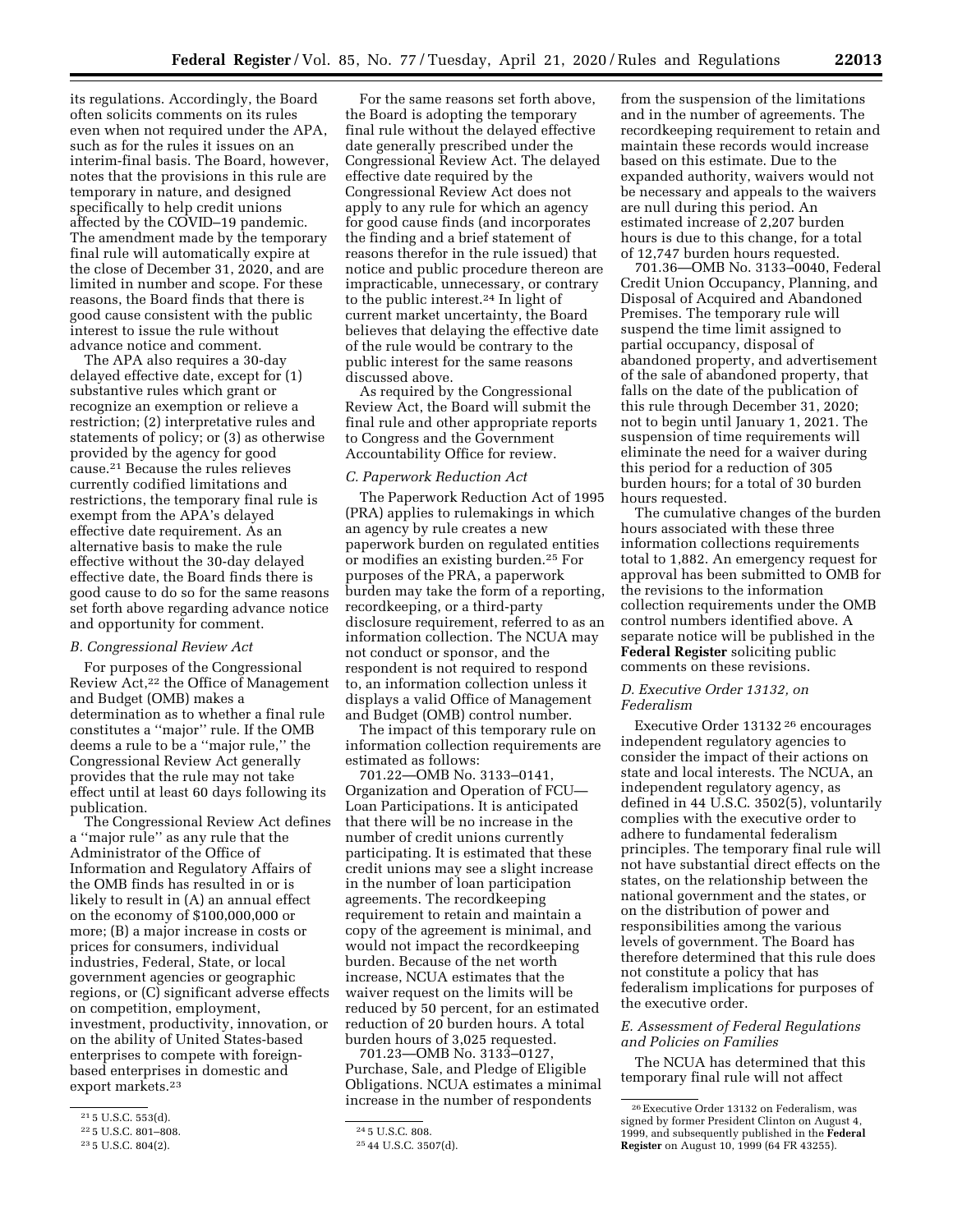its regulations. Accordingly, the Board often solicits comments on its rules even when not required under the APA, such as for the rules it issues on an interim-final basis. The Board, however, notes that the provisions in this rule are temporary in nature, and designed specifically to help credit unions affected by the COVID–19 pandemic. The amendment made by the temporary final rule will automatically expire at the close of December 31, 2020, and are limited in number and scope. For these reasons, the Board finds that there is good cause consistent with the public interest to issue the rule without advance notice and comment.

The APA also requires a 30-day delayed effective date, except for (1) substantive rules which grant or recognize an exemption or relieve a restriction; (2) interpretative rules and statements of policy; or (3) as otherwise provided by the agency for good cause.21 Because the rules relieves currently codified limitations and restrictions, the temporary final rule is exempt from the APA's delayed effective date requirement. As an alternative basis to make the rule effective without the 30-day delayed effective date, the Board finds there is good cause to do so for the same reasons set forth above regarding advance notice and opportunity for comment.

# *B. Congressional Review Act*

For purposes of the Congressional Review Act,22 the Office of Management and Budget (OMB) makes a determination as to whether a final rule constitutes a ''major'' rule. If the OMB deems a rule to be a ''major rule,'' the Congressional Review Act generally provides that the rule may not take effect until at least 60 days following its publication.

The Congressional Review Act defines a ''major rule'' as any rule that the Administrator of the Office of Information and Regulatory Affairs of the OMB finds has resulted in or is likely to result in (A) an annual effect on the economy of \$100,000,000 or more; (B) a major increase in costs or prices for consumers, individual industries, Federal, State, or local government agencies or geographic regions, or (C) significant adverse effects on competition, employment, investment, productivity, innovation, or on the ability of United States-based enterprises to compete with foreignbased enterprises in domestic and export markets.23

For the same reasons set forth above, the Board is adopting the temporary final rule without the delayed effective date generally prescribed under the Congressional Review Act. The delayed effective date required by the Congressional Review Act does not apply to any rule for which an agency for good cause finds (and incorporates the finding and a brief statement of reasons therefor in the rule issued) that notice and public procedure thereon are impracticable, unnecessary, or contrary to the public interest.24 In light of current market uncertainty, the Board believes that delaying the effective date of the rule would be contrary to the public interest for the same reasons discussed above.

As required by the Congressional Review Act, the Board will submit the final rule and other appropriate reports to Congress and the Government Accountability Office for review.

#### *C. Paperwork Reduction Act*

The Paperwork Reduction Act of 1995 (PRA) applies to rulemakings in which an agency by rule creates a new paperwork burden on regulated entities or modifies an existing burden.25 For purposes of the PRA, a paperwork burden may take the form of a reporting, recordkeeping, or a third-party disclosure requirement, referred to as an information collection. The NCUA may not conduct or sponsor, and the respondent is not required to respond to, an information collection unless it displays a valid Office of Management and Budget (OMB) control number.

The impact of this temporary rule on information collection requirements are estimated as follows:

701.22—OMB No. 3133–0141, Organization and Operation of FCU— Loan Participations. It is anticipated that there will be no increase in the number of credit unions currently participating. It is estimated that these credit unions may see a slight increase in the number of loan participation agreements. The recordkeeping requirement to retain and maintain a copy of the agreement is minimal, and would not impact the recordkeeping burden. Because of the net worth increase, NCUA estimates that the waiver request on the limits will be reduced by 50 percent, for an estimated reduction of 20 burden hours. A total burden hours of 3,025 requested.

701.23—OMB No. 3133–0127, Purchase, Sale, and Pledge of Eligible Obligations. NCUA estimates a minimal increase in the number of respondents

from the suspension of the limitations and in the number of agreements. The recordkeeping requirement to retain and maintain these records would increase based on this estimate. Due to the expanded authority, waivers would not be necessary and appeals to the waivers are null during this period. An estimated increase of 2,207 burden hours is due to this change, for a total of 12,747 burden hours requested.

701.36—OMB No. 3133–0040, Federal Credit Union Occupancy, Planning, and Disposal of Acquired and Abandoned Premises. The temporary rule will suspend the time limit assigned to partial occupancy, disposal of abandoned property, and advertisement of the sale of abandoned property, that falls on the date of the publication of this rule through December 31, 2020; not to begin until January 1, 2021. The suspension of time requirements will eliminate the need for a waiver during this period for a reduction of 305 burden hours; for a total of 30 burden hours requested.

The cumulative changes of the burden hours associated with these three information collections requirements total to 1,882. An emergency request for approval has been submitted to OMB for the revisions to the information collection requirements under the OMB control numbers identified above. A separate notice will be published in the **Federal Register** soliciting public comments on these revisions.

# *D. Executive Order 13132, on Federalism*

Executive Order 13132 26 encourages independent regulatory agencies to consider the impact of their actions on state and local interests. The NCUA, an independent regulatory agency, as defined in 44 U.S.C. 3502(5), voluntarily complies with the executive order to adhere to fundamental federalism principles. The temporary final rule will not have substantial direct effects on the states, on the relationship between the national government and the states, or on the distribution of power and responsibilities among the various levels of government. The Board has therefore determined that this rule does not constitute a policy that has federalism implications for purposes of the executive order.

# *E. Assessment of Federal Regulations and Policies on Families*

The NCUA has determined that this temporary final rule will not affect

<sup>21</sup> 5 U.S.C. 553(d).

<sup>22</sup> 5 U.S.C. 801–808.

<sup>23</sup> 5 U.S.C. 804(2).

<sup>24</sup> 5 U.S.C. 808.

<sup>25</sup> 44 U.S.C. 3507(d).

<sup>26</sup>Executive Order 13132 on Federalism, was signed by former President Clinton on August 4, 1999, and subsequently published in the **Federal Register** on August 10, 1999 (64 FR 43255).